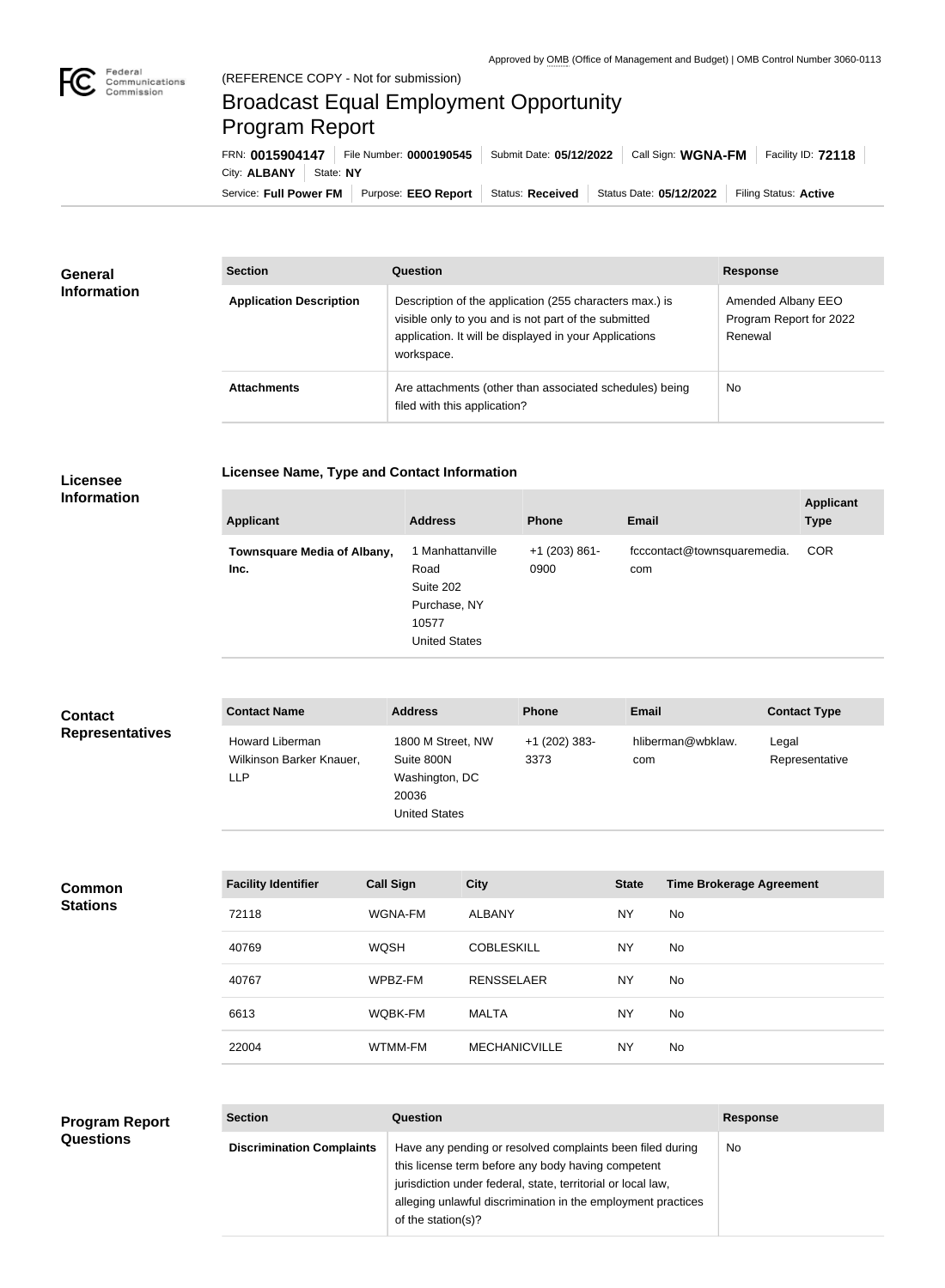## Broadcast Equal Employment Opportunity Program Report

**Licensee Name, Type and Contact Information**

Service: Full Power FM Purpose: EEO Report | Status: Received | Status Date: 05/12/2022 | Filing Status: Active City: **ALBANY** State: NY FRN: **0015904147** File Number: **0000190545** Submit Date: **05/12/2022** Call Sign: **WGNA-FM** Facility ID: **72118**

| <b>General</b><br><b>Information</b> | <b>Section</b>                 | Question                                                                                                                                                                                | <b>Response</b>                                          |  |
|--------------------------------------|--------------------------------|-----------------------------------------------------------------------------------------------------------------------------------------------------------------------------------------|----------------------------------------------------------|--|
|                                      | <b>Application Description</b> | Description of the application (255 characters max.) is<br>visible only to you and is not part of the submitted<br>application. It will be displayed in your Applications<br>workspace. | Amended Albany EEO<br>Program Report for 2022<br>Renewal |  |
|                                      | <b>Attachments</b>             | Are attachments (other than associated schedules) being<br>filed with this application?                                                                                                 | <b>No</b>                                                |  |

## **Licensee Information**

| 1 Manhattanville<br><b>COR</b><br>$+1$ (203) 861-<br>fcccontact@townsquaremedia.<br>Townsquare Media of Albany,<br>Road<br>0900<br>Inc.<br>com<br>Suite 202<br>Purchase, NY<br>10577<br><b>United States</b> | <b>Applicant</b> | <b>Address</b> | <b>Phone</b> | Email | <b>Applicant</b><br><b>Type</b> |
|--------------------------------------------------------------------------------------------------------------------------------------------------------------------------------------------------------------|------------------|----------------|--------------|-------|---------------------------------|
|                                                                                                                                                                                                              |                  |                |              |       |                                 |

| <b>Contact</b><br><b>Representatives</b> | <b>Contact Name</b>                                       | <b>Address</b>                                                |                   | <b>Phone</b>          | Email        |                                 | <b>Contact Type</b>     |
|------------------------------------------|-----------------------------------------------------------|---------------------------------------------------------------|-------------------|-----------------------|--------------|---------------------------------|-------------------------|
|                                          | Howard Liberman<br>Wilkinson Barker Knauer,<br><b>LLP</b> | Suite 800N<br>Washington, DC<br>20036<br><b>United States</b> | 1800 M Street, NW | +1 (202) 383-<br>3373 | com          | hliberman@wbklaw.               | Legal<br>Representative |
|                                          | <b>Facility Identifier</b>                                | <b>Call Sign</b>                                              | <b>City</b>       |                       | <b>State</b> | <b>Time Brokerage Agreement</b> |                         |
| <b>Common</b><br><b>Stations</b>         |                                                           |                                                               |                   |                       |              |                                 |                         |
|                                          | 72118                                                     | WGNA-FM                                                       | <b>ALBANY</b>     |                       | <b>NY</b>    | <b>No</b>                       |                         |
|                                          | 40769                                                     | <b>WQSH</b>                                                   | <b>COBLESKILL</b> |                       | <b>NY</b>    | No                              |                         |
|                                          | 40767                                                     | WPBZ-FM                                                       | <b>RENSSELAER</b> |                       | <b>NY</b>    | No                              |                         |
|                                          | 6613                                                      | WQBK-FM                                                       | <b>MALTA</b>      |                       | <b>NY</b>    | No                              |                         |
|                                          | 22004                                                     | WTMM-FM                                                       |                   | <b>MECHANICVILLE</b>  | <b>NY</b>    | No                              |                         |
|                                          |                                                           |                                                               |                   |                       |              |                                 |                         |

| <b>Program Report</b> | <b>Section</b>                   | Question                                                                                                                                                                                                                                        | <b>Response</b> |
|-----------------------|----------------------------------|-------------------------------------------------------------------------------------------------------------------------------------------------------------------------------------------------------------------------------------------------|-----------------|
| <b>Questions</b>      | <b>Discrimination Complaints</b> | Have any pending or resolved complaints been filed during<br>this license term before any body having competent<br>jurisdiction under federal, state, territorial or local law,<br>alleging unlawful discrimination in the employment practices | No.             |
|                       |                                  | of the station(s)?                                                                                                                                                                                                                              |                 |